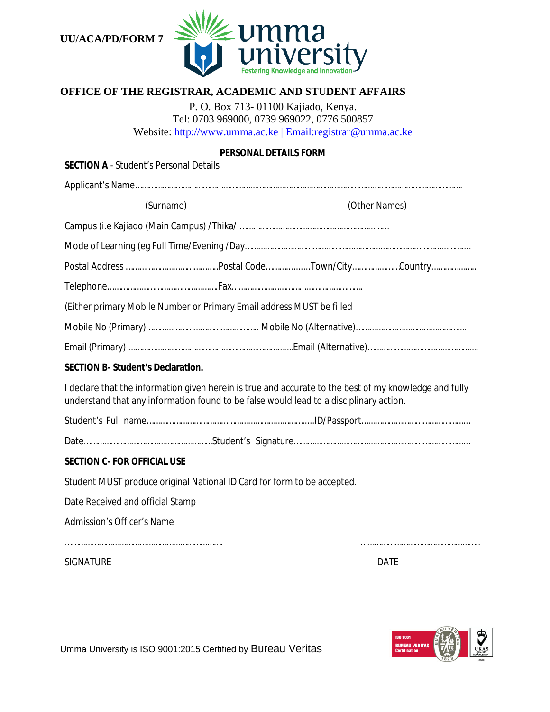**UU/ACA/PD/FORM 7**



# **OFFICE OF THE REGISTRAR, ACADEMIC AND STUDENT AFFAIRS**

P. O. Box 713- 01100 Kajiado, Kenya.

Tel: 0703 969000, 0739 969022, 0776 500857

Website: [http://www.umma.ac.ke](http://www.umma.ac.ke/) | Email[:registrar@umma.ac.ke](mailto:registrar@umma.ac.ke)

| <b>SECTION A - Student's Personal Details</b>                           | PERSONAL DETAILS FORM                                                                                                                                                                            |
|-------------------------------------------------------------------------|--------------------------------------------------------------------------------------------------------------------------------------------------------------------------------------------------|
|                                                                         |                                                                                                                                                                                                  |
| (Surname)                                                               | (Other Names)                                                                                                                                                                                    |
|                                                                         |                                                                                                                                                                                                  |
|                                                                         |                                                                                                                                                                                                  |
|                                                                         |                                                                                                                                                                                                  |
|                                                                         |                                                                                                                                                                                                  |
| (Either primary Mobile Number or Primary Email address MUST be filled   |                                                                                                                                                                                                  |
|                                                                         |                                                                                                                                                                                                  |
|                                                                         |                                                                                                                                                                                                  |
| SECTION B-Student's Declaration.                                        |                                                                                                                                                                                                  |
|                                                                         | I declare that the information given herein is true and accurate to the best of my knowledge and fully<br>understand that any information found to be false would lead to a disciplinary action. |
|                                                                         |                                                                                                                                                                                                  |
|                                                                         |                                                                                                                                                                                                  |
| SECTION C- FOR OFFICIAL USE                                             |                                                                                                                                                                                                  |
| Student MUST produce original National ID Card for form to be accepted. |                                                                                                                                                                                                  |
| Date Received and official Stamp                                        |                                                                                                                                                                                                  |
| <b>Admission's Officer's Name</b>                                       |                                                                                                                                                                                                  |
| <b>SIGNATURE</b>                                                        | <b>DATE</b>                                                                                                                                                                                      |



Umma University is ISO 9001:2015 Certified by Bureau Veritas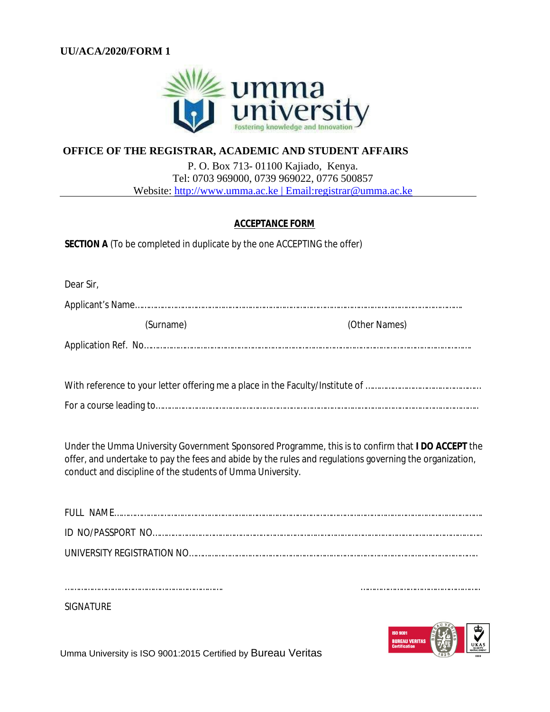**UU/ACA/2020/FORM 1**



### **OFFICE OF THE REGISTRAR, ACADEMIC AND STUDENT AFFAIRS**

P. O. Box 713- 01100 Kajiado, Kenya. Tel: 0703 969000, 0739 969022, 0776 500857 Website: [http://www.umma.ac.ke](http://www.umma.ac.ke/) | Email[:registrar@umma.ac.ke](mailto:registrar@umma.ac.ke)

#### **ACCEPTANCE FORM**

**SECTION A** (To be completed in duplicate by the one ACCEPTING the offer)

Dear Sir, Applicant's Name………………………………………………………………………………………………………………………………. (Surname) (Other Names) Application Ref. No………………………………………………………………………………………………………………………………. With reference to your letter offering me a place in the Faculty/Institute of …………………………………………… For a course leading to……………………………………………………………………………………………………………………………..

Under the Umma University Government Sponsored Programme, this is to confirm that **I DO ACCEPT** the offer, and undertake to pay the fees and abide by the rules and regulations governing the organization, conduct and discipline of the students of Umma University.

……………………………………………………………. ……………………………………………..

SIGNATURE



Umma University is ISO 9001:2015 Certified by Bureau Veritas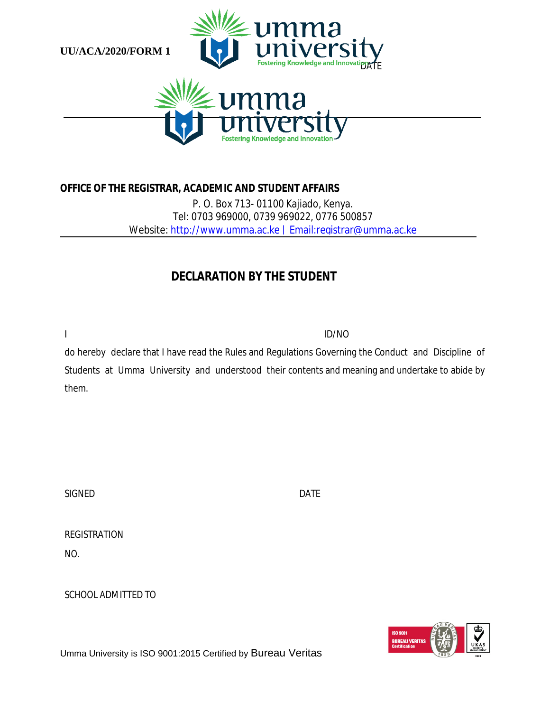

# **OFFICE OF THE REGISTRAR, ACADEMIC AND STUDENT AFFAIRS** P. O. Box 713- 01100 Kajiado, Kenya. Tel: 0703 969000, 0739 969022, 0776 500857 Website: [http://www.umma.ac.ke](http://www.umma.ac.ke/) | Email[:registrar@umma.ac.ke](mailto:registrar@umma.ac.ke)

# **DECLARATION BY THE STUDENT**

I ID/NO

do hereby declare that I have read the Rules and Regulations Governing the Conduct and Discipline of Students at Umma University and understood their contents and meaning and undertake to abide by them.

SIGNED DATE

| REGISTRATION |  |
|--------------|--|
| NO.          |  |

SCHOOL ADMITTED TO

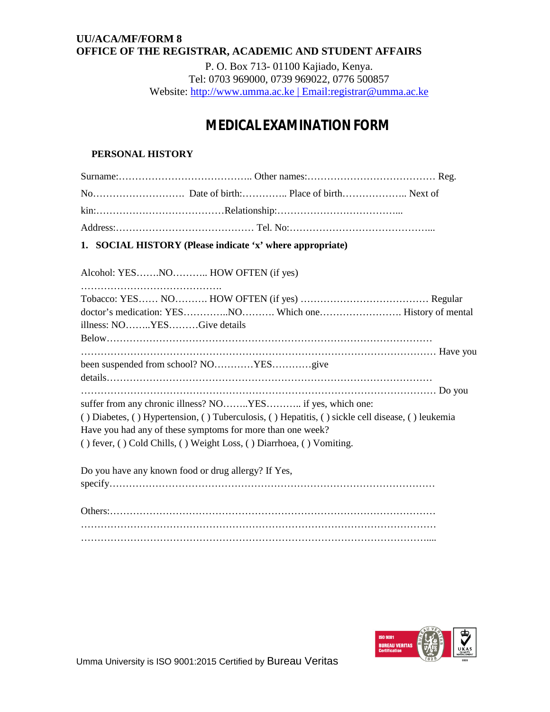#### **UU/ACA/MF/FORM 8 OFFICE OF THE REGISTRAR, ACADEMIC AND STUDENT AFFAIRS**

P. O. Box 713- 01100 Kajiado, Kenya. Tel: 0703 969000, 0739 969022, 0776 500857 Website: [http://www.umma.ac.ke](http://www.umma.ac.ke/) | Email[:registrar@umma.ac.ke](mailto:registrar@umma.ac.ke)

# **MEDICAL EXAMINATION FORM**

#### **PERSONAL HISTORY**

| 1. SOCIAL HISTORY (Please indicate 'x' where appropriate)                                                                                                                                                                                                                                           |
|-----------------------------------------------------------------------------------------------------------------------------------------------------------------------------------------------------------------------------------------------------------------------------------------------------|
| Alcohol: YESNO HOW OFTEN (if yes)                                                                                                                                                                                                                                                                   |
| illness: NOYESGive details                                                                                                                                                                                                                                                                          |
| been suspended from school? NOYESgive                                                                                                                                                                                                                                                               |
| suffer from any chronic illness? NOYES if yes, which one:<br>() Diabetes, () Hypertension, () Tuberculosis, () Hepatitis, () sickle cell disease, () leukemia<br>Have you had any of these symptoms for more than one week?<br>() fever, () Cold Chills, () Weight Loss, () Diarrhoea, () Vomiting. |
| Do you have any known food or drug allergy? If Yes,                                                                                                                                                                                                                                                 |